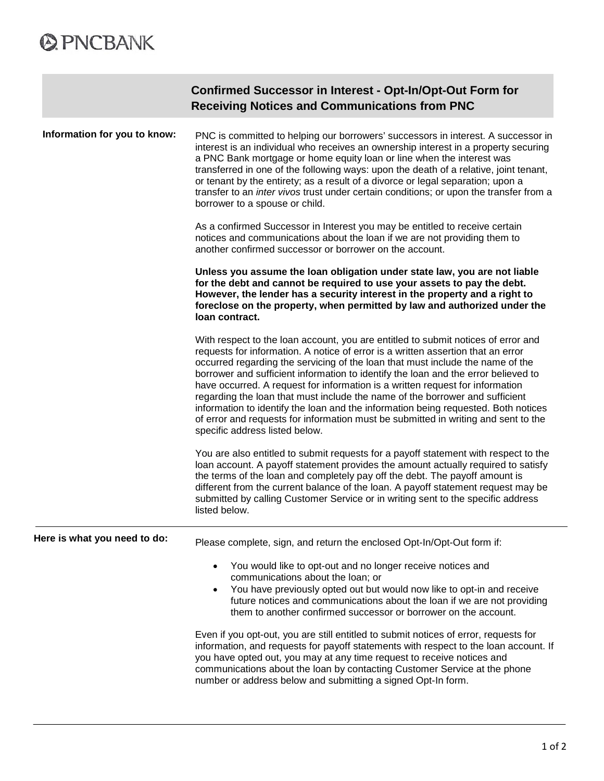# **@PNCBANK**

**COL** 

|                              | Confirmed Successor in Interest - Opt-In/Opt-Out Form for<br><b>Receiving Notices and Communications from PNC</b>                                                                                                                                                                                                                                                                                                                                                                                                                                                                                                                                                                                                            |  |
|------------------------------|------------------------------------------------------------------------------------------------------------------------------------------------------------------------------------------------------------------------------------------------------------------------------------------------------------------------------------------------------------------------------------------------------------------------------------------------------------------------------------------------------------------------------------------------------------------------------------------------------------------------------------------------------------------------------------------------------------------------------|--|
| Information for you to know: | PNC is committed to helping our borrowers' successors in interest. A successor in<br>interest is an individual who receives an ownership interest in a property securing<br>a PNC Bank mortgage or home equity loan or line when the interest was<br>transferred in one of the following ways: upon the death of a relative, joint tenant,<br>or tenant by the entirety; as a result of a divorce or legal separation; upon a<br>transfer to an inter vivos trust under certain conditions; or upon the transfer from a<br>borrower to a spouse or child.                                                                                                                                                                    |  |
|                              | As a confirmed Successor in Interest you may be entitled to receive certain<br>notices and communications about the loan if we are not providing them to<br>another confirmed successor or borrower on the account.                                                                                                                                                                                                                                                                                                                                                                                                                                                                                                          |  |
|                              | Unless you assume the loan obligation under state law, you are not liable<br>for the debt and cannot be required to use your assets to pay the debt.<br>However, the lender has a security interest in the property and a right to<br>foreclose on the property, when permitted by law and authorized under the<br>loan contract.                                                                                                                                                                                                                                                                                                                                                                                            |  |
|                              | With respect to the loan account, you are entitled to submit notices of error and<br>requests for information. A notice of error is a written assertion that an error<br>occurred regarding the servicing of the loan that must include the name of the<br>borrower and sufficient information to identify the loan and the error believed to<br>have occurred. A request for information is a written request for information<br>regarding the loan that must include the name of the borrower and sufficient<br>information to identify the loan and the information being requested. Both notices<br>of error and requests for information must be submitted in writing and sent to the<br>specific address listed below. |  |
|                              | You are also entitled to submit requests for a payoff statement with respect to the<br>loan account. A payoff statement provides the amount actually required to satisfy<br>the terms of the loan and completely pay off the debt. The payoff amount is<br>different from the current balance of the loan. A payoff statement request may be<br>submitted by calling Customer Service or in writing sent to the specific address<br>listed below.                                                                                                                                                                                                                                                                            |  |
| Here is what you need to do: | Please complete, sign, and return the enclosed Opt-In/Opt-Out form if:                                                                                                                                                                                                                                                                                                                                                                                                                                                                                                                                                                                                                                                       |  |
|                              | You would like to opt-out and no longer receive notices and<br>communications about the loan; or<br>You have previously opted out but would now like to opt-in and receive<br>future notices and communications about the loan if we are not providing<br>them to another confirmed successor or borrower on the account.                                                                                                                                                                                                                                                                                                                                                                                                    |  |
|                              | Even if you opt-out, you are still entitled to submit notices of error, requests for<br>information, and requests for payoff statements with respect to the loan account. If<br>you have opted out, you may at any time request to receive notices and<br>communications about the loan by contacting Customer Service at the phone<br>number or address below and submitting a signed Opt-In form.                                                                                                                                                                                                                                                                                                                          |  |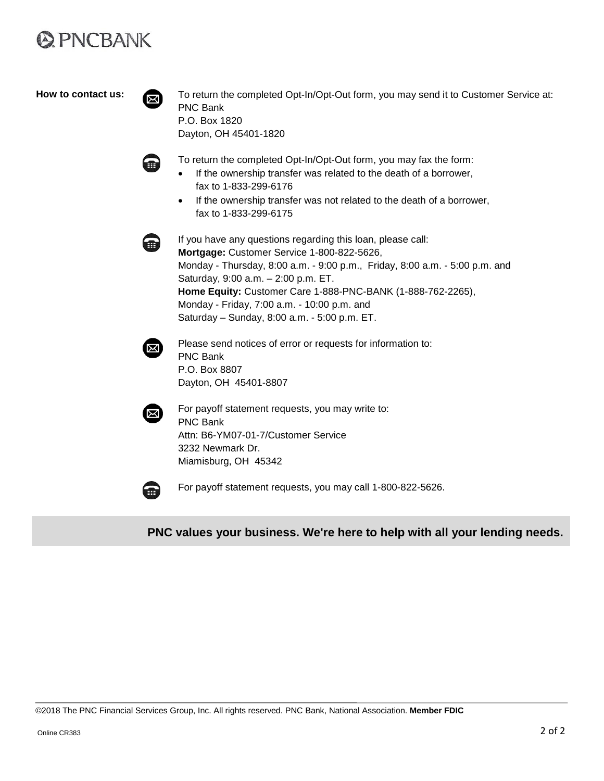# **@PNCBANK**

How to contact us: To return the completed Opt-In/Opt-Out form, you may send it to Customer Service at: PNC Bank P.O. Box 1820 Dayton, OH 45401-1820



To return the completed Opt-In/Opt-Out form, you may fax the form:

- If the ownership transfer was related to the death of a borrower, fax to 1-833-299-6176
- If the ownership transfer was not related to the death of a borrower, fax to 1-833-299-6175



If you have any questions regarding this loan, please call: **Mortgage:** Customer Service 1-800-822-5626, Monday - Thursday, 8:00 a.m. - 9:00 p.m., Friday, 8:00 a.m. - 5:00 p.m. and Saturday, 9:00 a.m. – 2:00 p.m. ET. **Home Equity:** Customer Care 1-888-PNC-BANK (1-888-762-2265), Monday - Friday, 7:00 a.m. - 10:00 p.m. and Saturday – Sunday, 8:00 a.m. - 5:00 p.m. ET.



Please send notices of error or requests for information to: PNC Bank P.O. Box 8807 Dayton, OH 45401-8807



For payoff statement requests, you may write to: PNC Bank Attn: B6-YM07-01-7/Customer Service 3232 Newmark Dr. Miamisburg, OH 45342



For payoff statement requests, you may call 1-800-822-5626.

**PNC values your business. We're here to help with all your lending needs.**